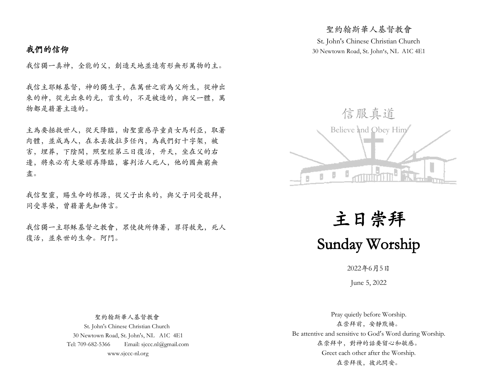## 我們的信仰

我信獨一真神,全能的父,創造天地並造有形無形萬物的主。

我信主耶穌基督,神的獨生子,在萬世之前為父所生,從神出 來的神,從光出來的光,首生的,不是被造的,與父一體,萬 物都是藉著主造的。

主為要拯救世人,從天降臨,由聖靈感孕童貞女馬利亞,取著 肉體,並成為人,在本丟彼拉多任內,為我們釘十字架,被 害,埋葬,下陰間,照聖經第三日復活,升天,坐在父的右 邊,將來必有大榮耀再降臨,審判活人死人,他的國無窮無 盡。

我信聖靈,賜生命的根源,從父子出來的,與父子同受敬拜, 同受尊榮,曾藉著先知傳言。

我信獨一主耶穌基督之教會,眾使徒所傳著,罪得赦免,死人 復活,並來世的生命。阿門。

St. John's Chinese Christian Church 30 Newtown Road, St. John's, NL A1C 4E1

聖約翰斯華人基督教會



主日崇拜 Sunday Worship

2022年6月5日

June 5, 2022

 聖約翰斯華人基督教會 St. John's Chinese Christian Church 30 Newtown Road, St. John's, NL A1C 4E1 Tel: 709-682-5366 Email: sjccc.nl@gmail.com www.sjccc-nl.org

Pray quietly before Worship. 在崇拜前,安靜默禱。 Be attentive and sensitive to God's Word during Worship. 在崇拜中,對神的話要留心和敏感。 Greet each other after the Worship. 在崇拜後,彼此問安。